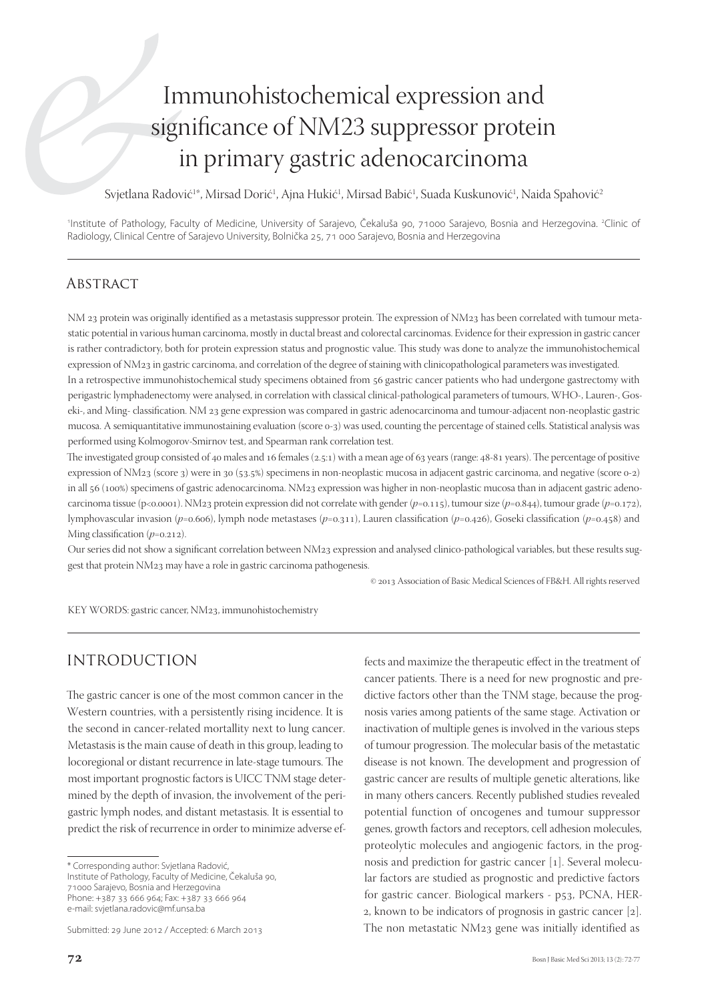# Immunohistochemical expression and significance of NM23 suppressor protein in primary gastric adenocarcinoma

Svjetlana Radović<sup>1</sup>\*, Mirsad Dorić<sup>1</sup>, Ajna Hukić<sup>1</sup>, Mirsad Babić<sup>1</sup>, Suada Kuskunović<sup>1</sup>, Naida Spahović<sup>2</sup>

<sup>1</sup>Institute of Pathology, Faculty of Medicine, University of Sarajevo, Čekaluša 90, 71000 Sarajevo, Bosnia and Herzegovina. <sup>2</sup>Clinic of Radiology, Clinical Centre of Sarajevo University, Bolnička 25, 71 000 Sarajevo, Bosnia and Herzegovina

## **ABSTRACT**

NM 23 protein was originally identified as a metastasis suppressor protein. The expression of NM23 has been correlated with tumour metastatic potential in various human carcinoma, mostly in ductal breast and colorectal carcinomas. Evidence for their expression in gastric cancer is rather contradictory, both for protein expression status and prognostic value. This study was done to analyze the immunohistochemical expression of NM23 in gastric carcinoma, and correlation of the degree of staining with clinicopathological parameters was investigated. In a retrospective immunohistochemical study specimens obtained from 56 gastric cancer patients who had undergone gastrectomy with

perigastric lymphadenectomy were analysed, in correlation with classical clinical-pathological parameters of tumours, WHO-, Lauren-, Goseki-, and Ming- classification. NM 23 gene expression was compared in gastric adenocarcinoma and tumour-adjacent non-neoplastic gastric mucosa. A semiquantitative immunostaining evaluation (score o-3) was used, counting the percentage of stained cells. Statistical analysis was performed using Kolmogorov-Smirnov test, and Spearman rank correlation test.

The investigated group consisted of 40 males and 16 females (2.5:1) with a mean age of 63 years (range: 48-81 years). The percentage of positive expression of NM23 (score 3) were in 30 (53.5%) specimens in non-neoplastic mucosa in adjacent gastric carcinoma, and negative (score 0-2) in all 56 (100%) specimens of gastric adenocarcinoma. NM23 expression was higher in non-neoplastic mucosa than in adjacent gastric adenocarcinoma tissue (p<0.0001). NM23 protein expression did not correlate with gender ( $p=0.115$ ), tumour size ( $p=0.844$ ), tumour grade ( $p=0.172$ ), lymphovascular invasion ( $p=0.606$ ), lymph node metastases ( $p=0.311$ ), Lauren classification ( $p=0.426$ ), Goseki classification ( $p=0.458$ ) and Ming classification  $(p=0.212)$ .

Our series did not show a significant correlation between NM23 expression and analysed clinico-pathological variables, but these results suggest that protein NM23 may have a role in gastric carcinoma pathogenesis.

© 2013 Association of Basic Medical Sciences of FB&H. All rights reserved

KEY WORDS: gastric cancer, NM23, immunohistochemistry

# INTRODUCTION

The gastric cancer is one of the most common cancer in the Western countries, with a persistently rising incidence. It is the second in cancer-related mortallity next to lung cancer. Metastasis is the main cause of death in this group, leading to locoregional or distant recurrence in late-stage tumours. The most important prognostic factors is UICC TNM stage determined by the depth of invasion, the involvement of the perigastric lymph nodes, and distant metastasis. It is essential to predict the risk of recurrence in order to minimize adverse ef-

\* Corresponding author: Svjetlana Radović, Institute of Pathology, Faculty of Medicine, Čekaluša 90, 71000 Sarajevo, Bosnia and Herzegovina Phone: +387 33 666 964; Fax: +387 33 666 964 e-mail: svjetlana.radovic@mf.unsa.ba

Submitted: 29 June 2012 / Accepted: 6 March 2013

fects and maximize the therapeutic effect in the treatment of cancer patients. There is a need for new prognostic and predictive factors other than the TNM stage, because the prognosis varies among patients of the same stage. Activation or inactivation of multiple genes is involved in the various steps of tumour progression. The molecular basis of the metastatic disease is not known. The development and progression of gastric cancer are results of multiple genetic alterations, like in many others cancers. Recently published studies revealed potential function of oncogenes and tumour suppressor genes, growth factors and receptors, cell adhesion molecules, proteolytic molecules and angiogenic factors, in the prognosis and prediction for gastric cancer [1]. Several molecular factors are studied as prognostic and predictive factors for gastric cancer. Biological markers - p53, PCNA, HER- $2$ , known to be indicators of prognosis in gastric cancer  $[2]$ . The non metastatic NM23 gene was initially identified as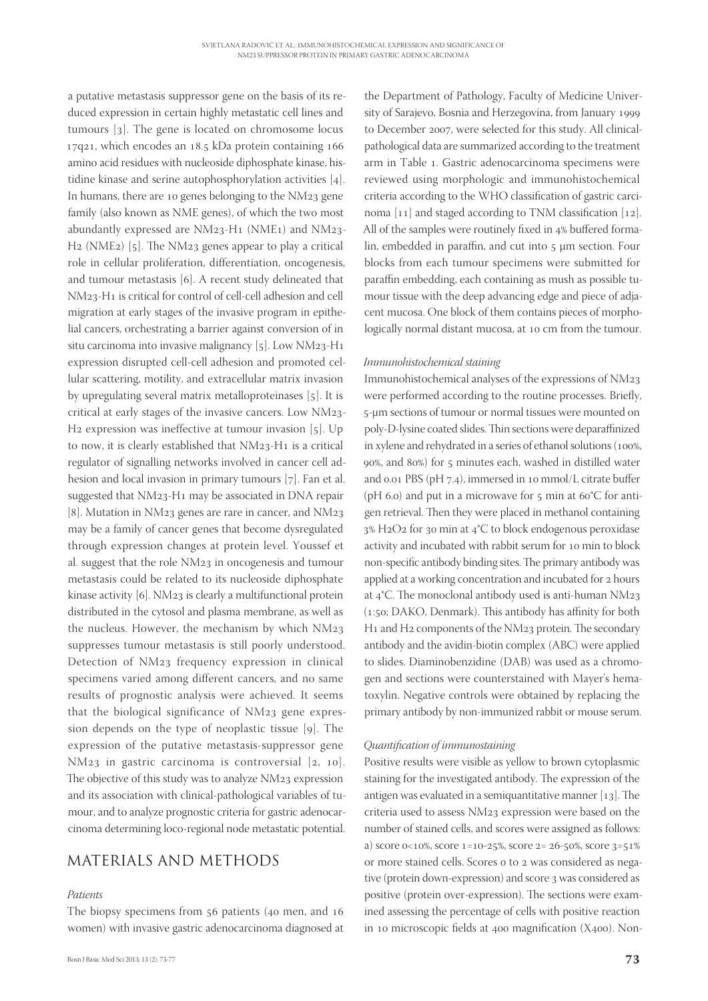a putative metastasis suppressor gene on the basis of its reduced expression in certain highly metastatic cell lines and tumours  $\lceil 3 \rceil$ . The gene is located on chromosome locus  $17q21$ , which encodes an  $18.5$  kDa protein containing  $166$ amino acid residues with nucleoside diphosphate kinase, histidine kinase and serine autophosphorylation activities  $[4]$ . In humans, there are 10 genes belonging to the  $NM_{23}$  gene family (also known as NME genes), of which the two most abundantly expressed are  $NM23-H1$  (NME1) and  $NM23-H1$  $H_2$  (NME<sub>2</sub>) [5]. The NM<sub>23</sub> genes appear to play a critical role in cellular proliferation, differentiation, oncogenesis, and tumour metastasis  $[6]$ . A recent study delineated that NM23-H<sub>1</sub> is critical for control of cell-cell adhesion and cell migration at early stages of the invasive program in epithelial cancers, orchestrating a barrier against conversion of in situ carcinoma into invasive malignancy  $[5]$ . Low NM23-H1 expression disrupted cell-cell adhesion and promoted cellular scattering, motility, and extracellular matrix invasion by upregulating several matrix metalloproteinases [5]. It is critical at early stages of the invasive cancers. Low NM23-H<sub>2</sub> expression was ineffective at tumour invasion  $[5]$ . Up to now, it is clearly established that  $NM_{23}$ -H<sub>1</sub> is a critical regulator of signalling networks involved in cancer cell adhesion and local invasion in primary tumours  $[7]$ . Fan et al. suggested that NM23-H1 may be associated in DNA repair [8]. Mutation in NM23 genes are rare in cancer, and NM23 may be a family of cancer genes that become dysregulated through expression changes at protein level. Youssef et al. suggest that the role NM23 in oncogenesis and tumour metastasis could be related to its nucleoside diphosphate kinase activity  $[6]$ . NM<sub>23</sub> is clearly a multifunctional protein distributed in the cytosol and plasma membrane, as well as the nucleus. However, the mechanism by which NM suppresses tumour metastasis is still poorly understood. Detection of  $NM_{23}$  frequency expression in clinical specimens varied among different cancers, and no same results of prognostic analysis were achieved. It seems that the biological significance of NM23 gene expression depends on the type of neoplastic tissue  $[g]$ . The expression of the putative metastasis-suppressor gene  $NM_{23}$  in gastric carcinoma is controversial [2, 10]. The objective of this study was to analyze NM23 expression and its association with clinical-pathological variables of tumour, and to analyze prognostic criteria for gastric adenocarcinoma determining loco-regional node metastatic potential.

## MATERIALS AND METHODS

## *Patients*

The biopsy specimens from  $56$  patients (40 men, and  $16$ women) with invasive gastric adenocarcinoma diagnosed at

the Department of Pathology, Faculty of Medicine University of Sarajevo, Bosnia and Herzegovina, from January to December 2007, were selected for this study. All clinicalpathological data are summarized according to the treatment arm in Table 1. Gastric adenocarcinoma specimens were reviewed using morphologic and immunohistochemical criteria according to the WHO classification of gastric carcinoma  $[11]$  and staged according to TNM classification  $[12]$ . All of the samples were routinely fixed in 4% buffered formalin, embedded in paraffin, and cut into  $5 \mu m$  section. Four blocks from each tumour specimens were submitted for paraffin embedding, each containing as mush as possible tumour tissue with the deep advancing edge and piece of adjacent mucosa. One block of them contains pieces of morphologically normal distant mucosa, at 10 cm from the tumour.

### *Immunohistochemical staining*

Immunohistochemical analyses of the expressions of NM were performed according to the routine processes. Briefly, -μm sections of tumour or normal tissues were mounted on poly-D-lysine coated slides. Thin sections were deparaffinized in xylene and rehydrated in a series of ethanol solutions ( $100\%$ , 90%, and 80%) for 5 minutes each, washed in distilled water and  $0.01$  PBS (pH  $7.4$ ), immersed in 10 mmol/L citrate buffer (pH 6.0) and put in a microwave for  $5$  min at 60°C for antigen retrieval. Then they were placed in methanol containing 3% H2O2 for 30 min at 4°C to block endogenous peroxidase activity and incubated with rabbit serum for 10 min to block non-specific antibody binding sites. The primary antibody was applied at a working concentration and incubated for 2 hours at  $4^{\circ}$ C. The monoclonal antibody used is anti-human NM23  $(1:50; \text{DAKO}, \text{Denmark})$ . This antibody has affinity for both H<sub>1</sub> and H<sub>2</sub> components of the NM<sub>23</sub> protein. The secondary antibody and the avidin-biotin complex (ABC) were applied to slides. Diaminobenzidine (DAB) was used as a chromogen and sections were counterstained with Mayer's hematoxylin. Negative controls were obtained by replacing the primary antibody by non-immunized rabbit or mouse serum.

### *Quantifi cation of immunostaining*

Positive results were visible as yellow to brown cytoplasmic staining for the investigated antibody. The expression of the antigen was evaluated in a semiquantitative manner  $[13]$ . The criteria used to assess NM23 expression were based on the number of stained cells, and scores were assigned as follows: a) score  $0<10\%$ , score  $1=10-25\%$ , score  $2=26-50\%$ , score  $3=51\%$ or more stained cells. Scores o to 2 was considered as negative (protein down-expression) and score 3 was considered as positive (protein over-expression). The sections were examined assessing the percentage of cells with positive reaction in 10 microscopic fields at  $400$  magnification (X $400$ ). Non-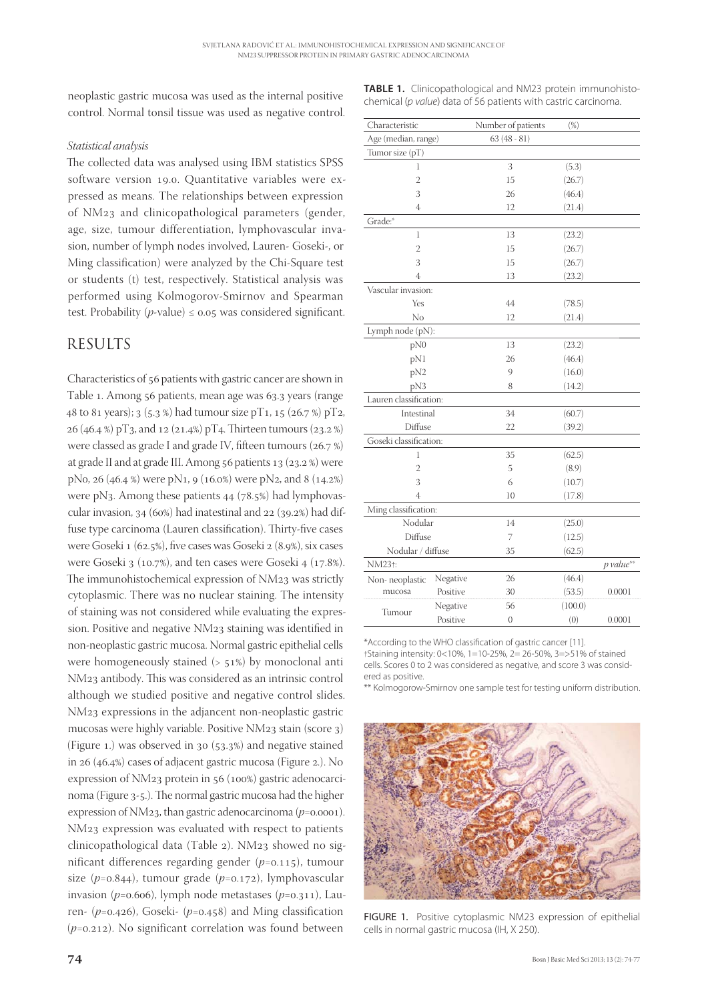neoplastic gastric mucosa was used as the internal positive control. Normal tonsil tissue was used as negative control.

## *Statistical analysis*

The collected data was analysed using IBM statistics SPSS software version 19.0. Quantitative variables were expressed as means. The relationships between expression of NM<sub>23</sub> and clinicopathological parameters (gender, age, size, tumour differentiation, lymphovascular invasion, number of lymph nodes involved, Lauren- Goseki-, or Ming classification) were analyzed by the Chi-Square test or students (t) test, respectively. Statistical analysis was performed using Kolmogorov-Smirnov and Spearman test. Probability  $(p$ -value)  $\leq$  0.05 was considered significant.

## RESULTS

Characteristics of 56 patients with gastric cancer are shown in Table 1. Among 56 patients, mean age was 63.3 years (range 48 to 81 years); 3 (5.3 %) had tumour size pT1, 15 (26.7 %) pT2, 26 (46.4 %) pT3, and 12 (21.4%) pT4. Thirteen tumours (23.2 %) were classed as grade I and grade IV, fifteen tumours  $(26.7%)$ at grade II and at grade III. Among  $56$  patients  $13$  (23.2%) were pNo, 26 (46.4 %) were pN<sub>1</sub>, 9 (16.0%) were pN<sub>2</sub>, and 8 (14.2%) were pN3. Among these patients  $44$  ( $78.5\%$ ) had lymphovascular invasion,  $34$  (60%) had inatestinal and  $22$  (39.2%) had diffuse type carcinoma (Lauren classification). Thirty-five cases were Goseki 1 (62.5%), five cases was Goseki 2 (8.9%), six cases were Goseki  $3$  (10.7%), and ten cases were Goseki 4 (17.8%). The immunohistochemical expression of NM23 was strictly cytoplasmic. There was no nuclear staining. The intensity of staining was not considered while evaluating the expression. Positive and negative NM23 staining was identified in non-neoplastic gastric mucosa. Normal gastric epithelial cells were homogeneously stained  $(> 51%)$  by monoclonal anti NM<sub>23</sub> antibody. This was considered as an intrinsic control although we studied positive and negative control slides. NM<sub>23</sub> expressions in the adjancent non-neoplastic gastric mucosas were highly variable. Positive NM23 stain (score 3) (Figure  $1$ .) was observed in  $30$  ( $53.3%$ ) and negative stained in  $26$  (46.4%) cases of adjacent gastric mucosa (Figure 2.). No expression of NM23 protein in 56 (100%) gastric adenocarcinoma (Figure 3-5.). The normal gastric mucosa had the higher expression of NM<sub>23</sub>, than gastric adenocarcinoma ( $p$ =0.0001). NM<sub>23</sub> expression was evaluated with respect to patients clinicopathological data (Table 2). NM23 showed no significant differences regarding gender (p=0.115), tumour size  $(p=0.844)$ , tumour grade  $(p=0.172)$ , lymphovascular invasion ( $p=0.606$ ), lymph node metastases ( $p=0.311$ ), Lauren-  $(p=0.426)$ , Goseki-  $(p=0.458)$  and Ming classification  $(p=0.212)$ . No significant correlation was found between

| Characteristic         |          | Number of patients | $(\%)$  |           |  |  |
|------------------------|----------|--------------------|---------|-----------|--|--|
| Age (median, range)    |          | $63(48-81)$        |         |           |  |  |
| Tumor size (pT)        |          |                    |         |           |  |  |
| 1                      |          | 3                  | (5.3)   |           |  |  |
| $\overline{2}$         |          | 15                 | (26.7)  |           |  |  |
| 3                      |          | 26                 | (46.4)  |           |  |  |
| 4                      |          | 12                 | (21.4)  |           |  |  |
| Grade:*                |          |                    |         |           |  |  |
| 1                      |          | 13                 | (23.2)  |           |  |  |
| $\overline{2}$         |          | 15                 | (26.7)  |           |  |  |
| 3                      |          | 15                 | (26.7)  |           |  |  |
| 4                      |          | 13                 | (23.2)  |           |  |  |
| Vascular invasion:     |          |                    |         |           |  |  |
| Yes                    |          | 44                 | (78.5)  |           |  |  |
| No                     |          | 12                 | (21.4)  |           |  |  |
| Lymph node (pN):       |          |                    |         |           |  |  |
| pN0                    |          | 13                 | (23.2)  |           |  |  |
| pN1                    |          | 26                 | (46.4)  |           |  |  |
| pN <sub>2</sub>        |          | 9                  | (16.0)  |           |  |  |
| pN3                    |          | 8                  | (14.2)  |           |  |  |
| Lauren classification: |          |                    |         |           |  |  |
| Intestinal             |          | 34                 | (60.7)  |           |  |  |
| Diffuse                |          | 22                 | (39.2)  |           |  |  |
| Goseki classification: |          |                    |         |           |  |  |
| 1                      |          | 35                 | (62.5)  |           |  |  |
| $\overline{2}$         |          | 5                  | (8.9)   |           |  |  |
| 3                      |          | 6                  | (10.7)  |           |  |  |
| 4                      |          | 10                 | (17.8)  |           |  |  |
| Ming classification:   |          |                    |         |           |  |  |
| Nodular                |          | 14                 | (25.0)  |           |  |  |
| Diffuse                |          | 7                  | (12.5)  |           |  |  |
| Nodular / diffuse      |          | 35                 | (62.5)  |           |  |  |
| NM23 <sup>+</sup> :    |          |                    |         | p value** |  |  |
| Non-neoplastic         | Negative | 26                 | (46.4)  |           |  |  |
| mucosa                 | Positive | 30                 | (53.5)  | 0.0001    |  |  |
|                        | Negative | 56                 | (100.0) |           |  |  |
| Tumour                 | Positive | $\overline{0}$     | (0)     | 0.0001    |  |  |
|                        |          |                    |         |           |  |  |

**TABLE 1.** Clinicopathological and NM23 protein immunohistochemical (p value) data of 56 patients with castric carcinoma.

\*According to the WHO classification of gastric cancer [11]. †Staining intensity: 0<10%, 1=10-25%, 2= 26-50%, 3=>51% of stained cells. Scores 0 to 2 was considered as negative, and score 3 was considered as positive.

\*\* Kolmogorow-Smirnov one sample test for testing uniform distribution.



FIGURE 1. Positive cytoplasmic NM23 expression of epithelial cells in normal gastric mucosa (IH, X 250).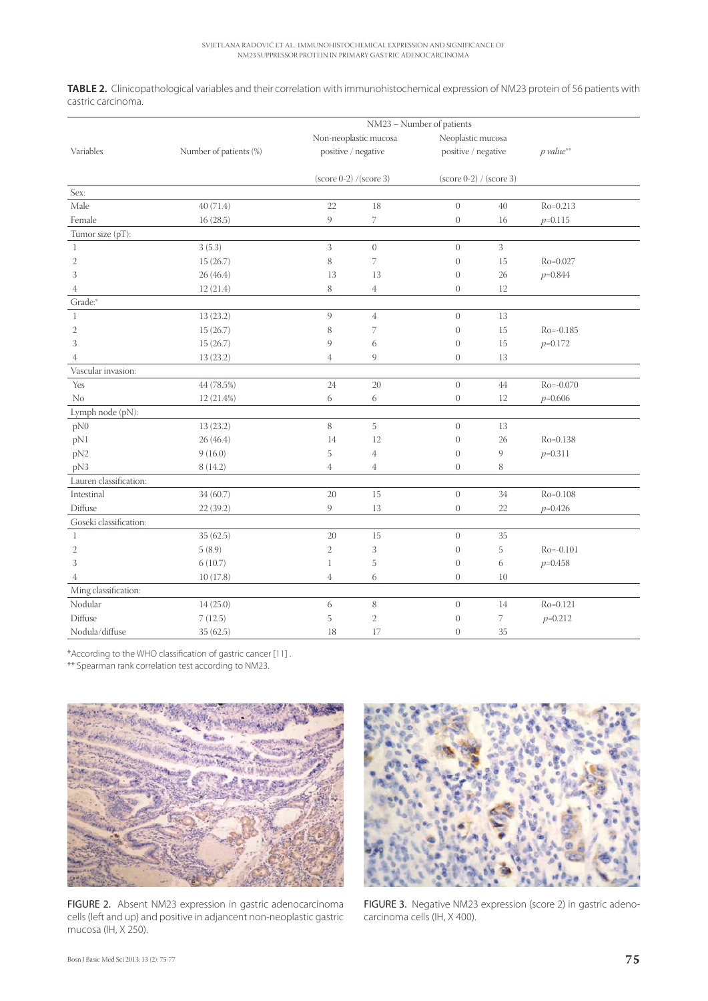**TABLE 2.** Clinicopathological variables and their correlation with immunohistochemical expression of NM23 protein of 56 patients with castric carcinoma.

|                        |                        | NM23 - Number of patients        |                  |                           |        |               |  |  |
|------------------------|------------------------|----------------------------------|------------------|---------------------------|--------|---------------|--|--|
|                        |                        | Non-neoplastic mucosa            |                  | Neoplastic mucosa         |        |               |  |  |
| Variables              | Number of patients (%) | positive / negative              |                  | positive / negative       |        | $p$ value**   |  |  |
|                        |                        | $(\text{score } 0-2)$ /(score 3) |                  | $(score 0-2) / (score 3)$ |        |               |  |  |
| Sex:                   |                        |                                  |                  |                           |        |               |  |  |
| Male                   | 40 (71.4)              | 22                               | 18               | $\boldsymbol{0}$          | $40\,$ | $Ro = 0.213$  |  |  |
| Female                 | 16(28.5)               | 9                                | 7                | $\boldsymbol{0}$          | 16     | $p=0.115$     |  |  |
| Tumor size (pT):       |                        |                                  |                  |                           |        |               |  |  |
| 1                      | 3(5.3)                 | 3                                | $\boldsymbol{0}$ | $\overline{0}$            | 3      |               |  |  |
| $\mathbf{2}$           | 15(26.7)               | $\,$ 8 $\,$                      | 7                | $\mathbf{0}$              | 15     | Ro=0.027      |  |  |
| 3                      | 26(46.4)               | 13                               | 13               | $\overline{0}$            | 26     | $p=0.844$     |  |  |
| $\overline{4}$         | 12(21.4)               | 8                                | $\overline{4}$   | $\overline{0}$            | 12     |               |  |  |
| Grade:*                |                        |                                  |                  |                           |        |               |  |  |
| $\mathbf{1}$           | 13 (23.2)              | 9                                | $\overline{4}$   | $\overline{0}$            | 13     |               |  |  |
| $\mathbf{2}$           | 15(26.7)               | 8                                | 7                | $\overline{0}$            | 15     | $Ro = -0.185$ |  |  |
| 3                      | 15(26.7)               | 9                                | 6                | $\overline{0}$            | 15     | $p=0.172$     |  |  |
| $\overline{4}$         | 13(23.2)               | $\overline{4}$                   | 9                | $\overline{0}$            | 13     |               |  |  |
| Vascular invasion:     |                        |                                  |                  |                           |        |               |  |  |
| Yes                    | 44 (78.5%)             | 24                               | 20               | $\theta$                  | 44     | $Ro = -0.070$ |  |  |
| No                     | 12 (21.4%)             | 6                                | 6                | $\boldsymbol{0}$          | 12     | $p=0.606$     |  |  |
| Lymph node (pN):       |                        |                                  |                  |                           |        |               |  |  |
| pN0                    | 13(23.2)               | 8                                | 5                | $\theta$                  | 13     |               |  |  |
| pN1                    | 26(46.4)               | 14                               | 12               | $\overline{0}$            | 26     | $Ro = 0.138$  |  |  |
| pN <sub>2</sub>        | 9(16.0)                | 5                                | $\overline{4}$   | $\overline{0}$            | 9      | $p=0.311$     |  |  |
| pN3                    | 8(14.2)                | $\overline{4}$                   | $\overline{4}$   | $\overline{0}$            | 8      |               |  |  |
| Lauren classification: |                        |                                  |                  |                           |        |               |  |  |
| Intestinal             | 34(60.7)               | $20\,$                           | 15               | $\boldsymbol{0}$          | $34\,$ | $Ro = 0.108$  |  |  |
| Diffuse                | 22(39.2)               | 9                                | 13               | $\overline{0}$            | 22     | $p=0.426$     |  |  |
| Goseki classification: |                        |                                  |                  |                           |        |               |  |  |
| $\mathbf{1}$           | 35 (62.5)              | 20                               | 15               | $\theta$                  | 35     |               |  |  |
| $\mathfrak{2}$         | 5(8.9)                 | $\mathbf{2}$                     | 3                | $\overline{0}$            | 5      | $Ro = -0.101$ |  |  |
| 3                      | 6(10.7)                | $\mathbf{1}$                     | 5                | $\overline{0}$            | 6      | $p=0.458$     |  |  |
| $\overline{4}$         | 10(17.8)               | $\overline{4}$                   | 6                | $\overline{0}$            | 10     |               |  |  |
| Ming classification:   |                        |                                  |                  |                           |        |               |  |  |
| Nodular                | 14(25.0)               | $\sqrt{6}$                       | $\,$ 8 $\,$      | $\boldsymbol{0}$          | 14     | $Ro = 0.121$  |  |  |
| Diffuse                | 7(12.5)                | 5                                | $\overline{2}$   | $\overline{0}$            | 7      | $p=0.212$     |  |  |
| Nodula/diffuse         | 35 (62.5)              | 18                               | 17               | $\overline{0}$            | $35\,$ |               |  |  |

\*According to the WHO classification of gastric cancer [11].

\*\* Spearman rank correlation test according to NM23.



FIGURE 2. Absent NM23 expression in gastric adenocarcinoma cells (left and up) and positive in adjancent non-neoplastic gastric mucosa (IH, X 250).



FIGURE 3. Negative NM23 expression (score 2) in gastric adenocarcinoma cells (IH, X 400).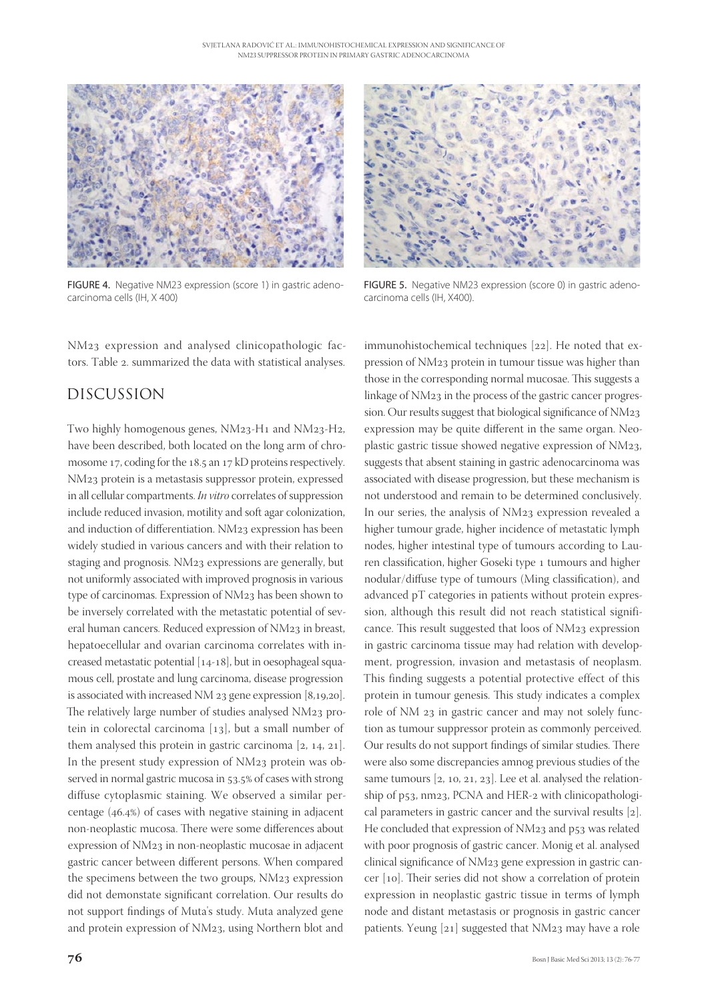

FIGURE 4. Negative NM23 expression (score 1) in gastric adenocarcinoma cells (IH, X 400)

NM<sub>23</sub> expression and analysed clinicopathologic factors. Table 2. summarized the data with statistical analyses.

# DISCUSSION

Two highly homogenous genes, NM23-H1 and NM23-H2, have been described, both located on the long arm of chromosome 17, coding for the 18.5 an  $17$  kD proteins respectively. NM<sub>23</sub> protein is a metastasis suppressor protein, expressed in all cellular compartments. *In vitro* correlates of suppression include reduced invasion, motility and soft agar colonization, and induction of differentiation. NM23 expression has been widely studied in various cancers and with their relation to staging and prognosis. NM23 expressions are generally, but not uniformly associated with improved prognosis in various type of carcinomas. Expression of NM23 has been shown to be inversely correlated with the metastatic potential of several human cancers. Reduced expression of NM23 in breast, hepatoecellular and ovarian carcinoma correlates with increased metastatic potential  $[14-18]$ , but in oesophageal squamous cell, prostate and lung carcinoma, disease progression is associated with increased NM  $23$  gene expression [8,19,20]. The relatively large number of studies analysed NM23 protein in colorectal carcinoma  $[13]$ , but a small number of them analysed this protein in gastric carcinoma  $[2, 14, 21]$ . In the present study expression of  $NM_{23}$  protein was observed in normal gastric mucosa in 53.5% of cases with strong diffuse cytoplasmic staining. We observed a similar percentage  $(46.4%)$  of cases with negative staining in adjacent non-neoplastic mucosa. There were some differences about expression of NM23 in non-neoplastic mucosae in adjacent gastric cancer between different persons. When compared the specimens between the two groups, NM23 expression did not demonstate significant correlation. Our results do not support findings of Muta's study. Muta analyzed gene and protein expression of NM23, using Northern blot and



FIGURE 5. Negative NM23 expression (score 0) in gastric adenocarcinoma cells (IH, X400).

immunohistochemical techniques [22]. He noted that expression of NM23 protein in tumour tissue was higher than those in the corresponding normal mucosae. This suggests a linkage of NM23 in the process of the gastric cancer progression. Our results suggest that biological significance of  $NM_{23}$ expression may be quite different in the same organ. Neoplastic gastric tissue showed negative expression of NM23, suggests that absent staining in gastric adenocarcinoma was associated with disease progression, but these mechanism is not understood and remain to be determined conclusively. In our series, the analysis of NM23 expression revealed a higher tumour grade, higher incidence of metastatic lymph nodes, higher intestinal type of tumours according to Lauren classification, higher Goseki type 1 tumours and higher nodular/diffuse type of tumours (Ming classification), and advanced pT categories in patients without protein expression, although this result did not reach statistical significance. This result suggested that loos of NM23 expression in gastric carcinoma tissue may had relation with development, progression, invasion and metastasis of neoplasm. This finding suggests a potential protective effect of this protein in tumour genesis. This study indicates a complex role of NM 23 in gastric cancer and may not solely function as tumour suppressor protein as commonly perceived. Our results do not support findings of similar studies. There were also some discrepancies amnog previous studies of the same tumours  $[2, 10, 21, 23]$ . Lee et al. analysed the relationship of p53, nm23, PCNA and HER-2 with clinicopathological parameters in gastric cancer and the survival results  $[2]$ . He concluded that expression of NM23 and p53 was related with poor prognosis of gastric cancer. Monig et al. analysed clinical significance of NM23 gene expression in gastric cancer [10]. Their series did not show a correlation of protein expression in neoplastic gastric tissue in terms of lymph node and distant metastasis or prognosis in gastric cancer patients. Yeung [21] suggested that NM23 may have a role